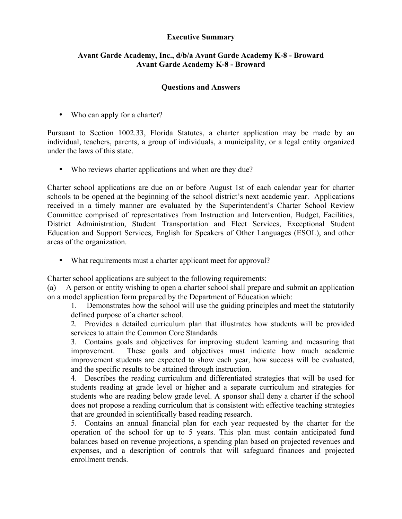## **Executive Summary**

## **Avant Garde Academy, Inc., d/b/a Avant Garde Academy K-8 - Broward Avant Garde Academy K-8 - Broward**

## **Questions and Answers**

• Who can apply for a charter?

Pursuant to Section 1002.33, Florida Statutes, a charter application may be made by an individual, teachers, parents, a group of individuals, a municipality, or a legal entity organized under the laws of this state.

• Who reviews charter applications and when are they due?

Charter school applications are due on or before August 1st of each calendar year for charter schools to be opened at the beginning of the school district's next academic year. Applications received in a timely manner are evaluated by the Superintendent's Charter School Review Committee comprised of representatives from Instruction and Intervention, Budget, Facilities, District Administration, Student Transportation and Fleet Services, Exceptional Student Education and Support Services, English for Speakers of Other Languages (ESOL), and other areas of the organization.

• What requirements must a charter applicant meet for approval?

Charter school applications are subject to the following requirements:

(a) A person or entity wishing to open a charter school shall prepare and submit an application on a model application form prepared by the Department of Education which:

1. Demonstrates how the school will use the guiding principles and meet the statutorily defined purpose of a charter school.

2. Provides a detailed curriculum plan that illustrates how students will be provided services to attain the Common Core Standards.

3. Contains goals and objectives for improving student learning and measuring that improvement. These goals and objectives must indicate how much academic improvement students are expected to show each year, how success will be evaluated, and the specific results to be attained through instruction.

4. Describes the reading curriculum and differentiated strategies that will be used for students reading at grade level or higher and a separate curriculum and strategies for students who are reading below grade level. A sponsor shall deny a charter if the school does not propose a reading curriculum that is consistent with effective teaching strategies that are grounded in scientifically based reading research.

5. Contains an annual financial plan for each year requested by the charter for the operation of the school for up to 5 years. This plan must contain anticipated fund balances based on revenue projections, a spending plan based on projected revenues and expenses, and a description of controls that will safeguard finances and projected enrollment trends.